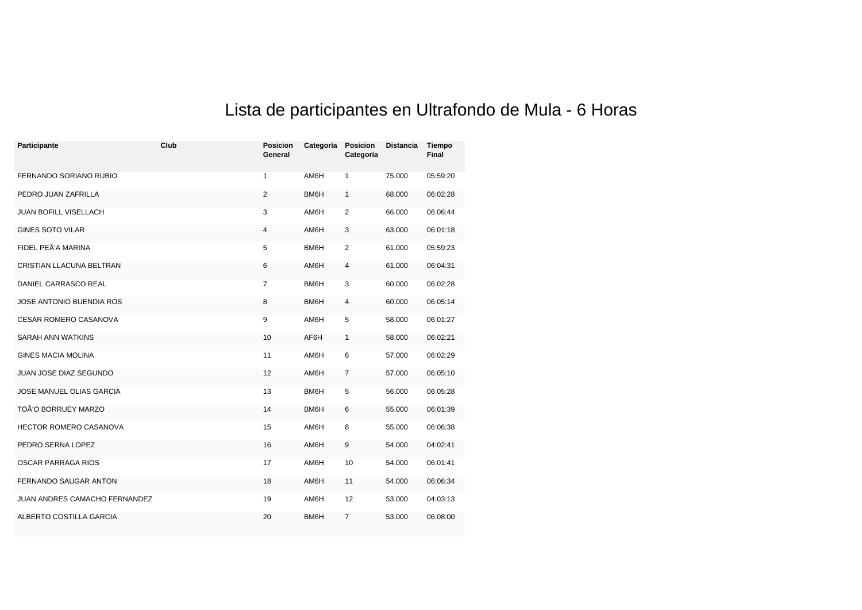## Lista de participantes en Ultrafondo de Mula - 6 Horas

| Participante                  | Club | <b>Posicion</b><br>General | Categoría | Posicion<br>Categoría   | <b>Distancia</b> | Tiempo<br>Final |
|-------------------------------|------|----------------------------|-----------|-------------------------|------------------|-----------------|
| FERNANDO SORIANO RUBIO        |      | $\mathbf{1}$               | AM6H      | $\mathbf{1}$            | 75.000           | 05:59:20        |
| PEDRO JUAN ZAFRILLA           |      | $\overline{2}$             | BM6H      | $\mathbf{1}$            | 68.000           | 06:02:28        |
| JUAN BOFILL VISELLACH         |      | 3                          | AM6H      | 2                       | 66.000           | 06:06:44        |
| <b>GINES SOTO VILAR</b>       |      | $\overline{4}$             | AM6H      | 3                       | 63.000           | 06:01:18        |
| FIDEL PEÃ'A MARINA            |      | 5                          | BM6H      | $\overline{2}$          | 61.000           | 05:59:23        |
| CRISTIAN LLACUNA BELTRAN      |      | 6                          | AM6H      | 4                       | 61.000           | 06:04:31        |
| DANIEL CARRASCO REAL          |      | 7                          | BM6H      | 3                       | 60.000           | 06:02:28        |
| JOSE ANTONIO BUENDIA ROS      |      | 8                          | BM6H      | $\overline{\mathbf{4}}$ | 60.000           | 06:05:14        |
| <b>CESAR ROMERO CASANOVA</b>  |      | 9                          | AM6H      | 5                       | 58.000           | 06:01:27        |
| <b>SARAH ANN WATKINS</b>      |      | 10                         | AF6H      | $\mathbf{1}$            | 58.000           | 06:02:21        |
| <b>GINES MACIA MOLINA</b>     |      | 11                         | AM6H      | 6                       | 57.000           | 06:02:29        |
| JUAN JOSE DIAZ SEGUNDO        |      | 12                         | AM6H      | $\overline{7}$          | 57.000           | 06:05:10        |
| JOSE MANUEL OLIAS GARCIA      |      | 13                         | BM6H      | 5                       | 56.000           | 06:05:28        |
| TOÃ'O BORRUEY MARZO           |      | 14                         | BM6H      | 6                       | 55.000           | 06:01:39        |
| <b>HECTOR ROMERO CASANOVA</b> |      | 15                         | AM6H      | 8                       | 55.000           | 06:06:38        |
| PEDRO SERNA LOPEZ             |      | 16                         | AM6H      | 9                       | 54.000           | 04:02:41        |
| OSCAR PARRAGA RIOS            |      | 17                         | AM6H      | 10                      | 54.000           | 06:01:41        |
| <b>FERNANDO SAUGAR ANTON</b>  |      | 18                         | AM6H      | 11                      | 54.000           | 06:06:34        |
| JUAN ANDRES CAMACHO FERNANDEZ |      | 19                         | AM6H      | 12                      | 53.000           | 04:03:13        |
| ALBERTO COSTILLA GARCIA       |      | 20                         | BM6H      | $\overline{7}$          | 53.000           | 06:08:00        |